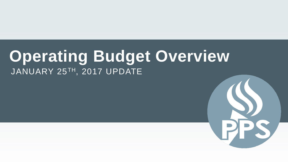# **Operating Budget Overview** JANUARY 25TH, 2017 UPDATE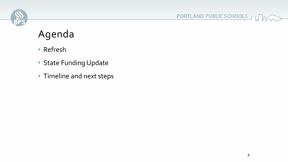

PORTLAND PUBLIC SCHOOLS

## Agenda

- Refresh
- State Funding Update
- Timeline and next steps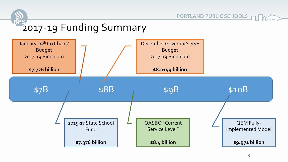



PORTLAND PUBLIC SCHOOLS F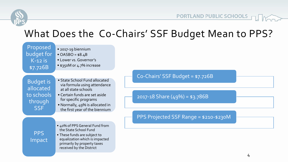

## What Does the Co-Chairs' SSF Budget Mean to PPS?

| Proposed<br>budget for<br>$K-12$ is<br>\$7.726B                      | • 2017-19 biennium<br>• $OASBO = $8.4B$<br>• Lower vs. Governor's<br>• \$350M or 4.7% increase                                                                                                                       |                                                                      |  |
|----------------------------------------------------------------------|----------------------------------------------------------------------------------------------------------------------------------------------------------------------------------------------------------------------|----------------------------------------------------------------------|--|
| <b>Budget is</b><br>allocated<br>to schools<br>through<br><b>SSF</b> | • State School Fund allocated<br>via formula using attendance<br>at all state schools<br>• Certain funds are set aside<br>for specific programs<br>• Normally, 49% is allocated in<br>the first year of the biennium | Co-Chairs' SSF Budget = \$7.726B<br>2017-18 Share $(49\%) = $3.786B$ |  |
|                                                                      | • 40% of PPS General Fund from<br>the State School Fund                                                                                                                                                              | PPS Projected SSF Range = \$210-\$230M                               |  |
| <b>PPS</b><br>Impact                                                 | • These funds are subject to<br>equalization which is impacted<br>primarily by property taxes<br>received by the District                                                                                            |                                                                      |  |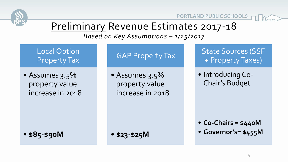

PORTLAND PUBLIC SCHOOLS PUNCT

## Preliminary Revenue Estimates 2017-18

*Based on Key Assumptions – 1/25/2017*

Local Option Property Tax

• Assumes 3.5% property value increase in 2018

• **\$85-\$90M**

GAP Property Tax

• Assumes 3.5% property value increase in 2018

• **\$23-\$25M**

State Sources (SSF + Property Taxes)

• Introducing Co-Chair's Budget

- **Co-Chairs = \$440M**
- **Governor's= \$455M**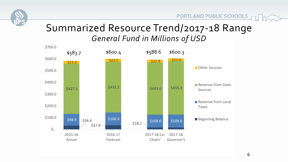

PORTLAND PUBLIC SCHOOLS

#### Summarized Resource Trend/2017-18 Range *General Fund in Millions of USD*

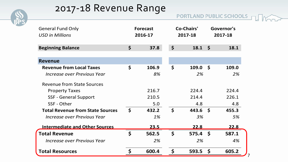

### 2017-18 Revenue Range

| <b>General Fund Only</b><br><b>USD in Millions</b> |                       | <b>Forecast</b><br>2016-17 | <b>Co-Chairs'</b><br>2017-18 |       | Governor's<br>2017-18 |       |
|----------------------------------------------------|-----------------------|----------------------------|------------------------------|-------|-----------------------|-------|
| <b>Beginning Balance</b>                           | $\boldsymbol{\zeta}$  | 37.8                       | $\boldsymbol{\zeta}$         | 18.1  | $\mathsf{\mathsf{S}}$ | 18.1  |
| <b>Revenue</b>                                     |                       |                            |                              |       |                       |       |
| <b>Revenue from Local Taxes</b>                    | $\mathsf{\mathsf{S}}$ | 106.9                      | $\mathsf{\mathsf{S}}$        | 109.0 | $\mathsf{\mathsf{S}}$ | 109.0 |
| Increase over Previous Year                        |                       | 8%                         |                              | 2%    |                       | 2%    |
| <b>Revenue from State Sources</b>                  |                       |                            |                              |       |                       |       |
| <b>Property Taxes</b>                              |                       | 216.7                      |                              | 224.4 |                       | 224.4 |
| <b>SSF - General Support</b>                       |                       | 210.5                      |                              | 214.4 |                       | 226.1 |
| SSF - Other                                        |                       | 5.0                        |                              | 4.8   |                       | 4.8   |
| <b>Total Revenue from State Sources</b>            | $\boldsymbol{\zeta}$  | 432.2                      | $\mathsf{S}$                 | 443.6 | $\mathsf{S}$          | 455.3 |
| Increase over Previous Year                        |                       | 1%                         |                              | 3%    |                       | 5%    |
| <b>Intermediate and Other Sources</b>              |                       | 23.5                       |                              | 22.8  |                       | 22.8  |
| <b>Total Revenue</b>                               | $\boldsymbol{\zeta}$  | 562.5                      | $\boldsymbol{\zeta}$         | 575.4 | $\mathsf{S}$          | 587.1 |
| Increase over Previous Year                        |                       | 2%                         |                              | 2%    |                       | 4%    |
| <b>Total Resources</b>                             | \$                    | 600.4                      | \$                           | 593.5 | $\mathsf{S}$          | 605.2 |

7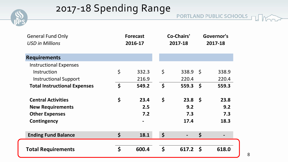

## 2017-18 Spending Range

PORTLAND PUBLIC SCHOOLS

| <b>General Fund Only</b><br><b>USD in Millions</b> |                      | <b>Forecast</b><br>2016-17   | <b>Co-Chairs'</b><br>2017-18 |                    | Governor's<br>2017-18 |       |
|----------------------------------------------------|----------------------|------------------------------|------------------------------|--------------------|-----------------------|-------|
| <b>Requirements</b>                                |                      |                              |                              |                    |                       |       |
| <b>Instructional Expenses</b>                      |                      |                              |                              |                    |                       |       |
| Instruction                                        | $\varsigma$          | 332.3                        | $\varsigma$                  | $338.9 \quad $$    |                       | 338.9 |
| <b>Instructional Support</b>                       |                      | 216.9                        |                              | 220.4              |                       | 220.4 |
| <b>Total Instructional Expenses</b>                | $\boldsymbol{\zeta}$ | 549.2                        | \$                           | 559.3 <sup>5</sup> |                       | 559.3 |
| <b>Central Activities</b>                          | \$                   | 23.4                         | \$                           | $23.8 \quad$       |                       | 23.8  |
| <b>New Requirements</b>                            |                      | 2.5                          |                              | 9.2                |                       | 9.2   |
| <b>Other Expenses</b>                              |                      | 7.2                          |                              | 7.3                |                       | 7.3   |
| <b>Contingency</b>                                 |                      | $\qquad \qquad \blacksquare$ |                              | 17.4               |                       | 18.3  |
| <b>Ending Fund Balance</b>                         | \$                   | 18.1                         | \$                           |                    | \$                    |       |
|                                                    |                      |                              |                              |                    |                       |       |
| <b>Total Requirements</b>                          | \$                   | 600.4                        | $\boldsymbol{\zeta}$         | 617.2              | $\mathsf{S}$          | 618.0 |

8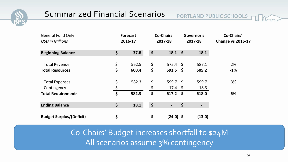

| <b>General Fund Only</b><br><b>USD in Millions</b> |               | <b>Forecast</b><br>2016-17 |                      | <b>Co-Chairs'</b><br>2017-18 |      | Governor's<br>2017-18 | <b>Co-Chairs'</b><br><b>Change vs 2016-17</b> |
|----------------------------------------------------|---------------|----------------------------|----------------------|------------------------------|------|-----------------------|-----------------------------------------------|
| <b>Beginning Balance</b>                           | \$            | 37.8                       | \$                   | $18.1 \; \text{S}$           |      | 18.1                  |                                               |
| <b>Total Revenue</b>                               | $\frac{5}{2}$ | 562.5                      | $\zeta$              | $575.4 \; \S$                |      | 587.1                 | 2%                                            |
| <b>Total Resources</b>                             | \$            | 600.4                      | $\boldsymbol{\zeta}$ | $593.5$ \$                   |      | 605.2                 | $-1%$                                         |
| <b>Total Expenses</b>                              | \$            | 582.3                      | \$                   | 599.7 <sup>5</sup>           |      | 599.7                 | 3%                                            |
| Contingency                                        | $\frac{5}{1}$ | $\overline{\phantom{a}}$   | \$                   | $17.4 \; \text{S}$           |      | 18.3                  |                                               |
| <b>Total Requirements</b>                          | \$            | 582.3                      | \$                   | 617.2                        | - \$ | 618.0                 | 6%                                            |
| <b>Ending Balance</b>                              | \$            | 18.1                       | $\varsigma$          | $\blacksquare$               | \$   | -                     |                                               |
| <b>Budget Surplus/(Deficit)</b>                    | \$            | $\blacksquare$             | \$                   | $(24.0)$ \$                  |      | (13.0)                |                                               |

Co-Chairs' Budget increases shortfall to \$24M All scenarios assume 3% contingency